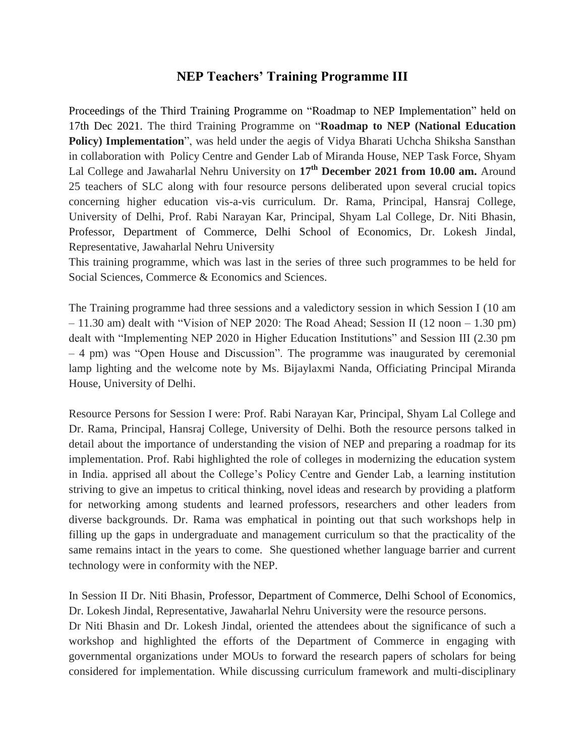## **NEP Teachers' Training Programme III**

Proceedings of the Third Training Programme on "Roadmap to NEP Implementation" held on 17th Dec 2021. The third Training Programme on "**Roadmap to NEP (National Education Policy) Implementation**", was held under the aegis of Vidya Bharati Uchcha Shiksha Sansthan in collaboration with Policy Centre and Gender Lab of Miranda House, NEP Task Force, Shyam Lal College and Jawaharlal Nehru University on **17th December 2021 from 10.00 am.** Around 25 teachers of SLC along with four resource persons deliberated upon several crucial topics concerning higher education vis-a-vis curriculum. Dr. Rama, Principal, Hansraj College, University of Delhi, Prof. Rabi Narayan Kar, Principal, Shyam Lal College, Dr. Niti Bhasin, Professor, Department of Commerce, Delhi School of Economics, Dr. Lokesh Jindal, Representative, Jawaharlal Nehru University

This training programme, which was last in the series of three such programmes to be held for Social Sciences, Commerce & Economics and Sciences.

The Training programme had three sessions and a valedictory session in which Session I (10 am – 11.30 am) dealt with "Vision of NEP 2020: The Road Ahead; Session II (12 noon – 1.30 pm) dealt with "Implementing NEP 2020 in Higher Education Institutions" and Session III (2.30 pm – 4 pm) was "Open House and Discussion". The programme was inaugurated by ceremonial lamp lighting and the welcome note by Ms. Bijaylaxmi Nanda, Officiating Principal Miranda House, University of Delhi.

Resource Persons for Session I were: Prof. Rabi Narayan Kar, Principal, Shyam Lal College and Dr. Rama, Principal, Hansraj College, University of Delhi. Both the resource persons talked in detail about the importance of understanding the vision of NEP and preparing a roadmap for its implementation. Prof. Rabi highlighted the role of colleges in modernizing the education system in India. apprised all about the College's Policy Centre and Gender Lab, a learning institution striving to give an impetus to critical thinking, novel ideas and research by providing a platform for networking among students and learned professors, researchers and other leaders from diverse backgrounds. Dr. Rama was emphatical in pointing out that such workshops help in filling up the gaps in undergraduate and management curriculum so that the practicality of the same remains intact in the years to come. She questioned whether language barrier and current technology were in conformity with the NEP.

In Session II Dr. Niti Bhasin, Professor, Department of Commerce, Delhi School of Economics, Dr. Lokesh Jindal, Representative, Jawaharlal Nehru University were the resource persons.

Dr Niti Bhasin and Dr. Lokesh Jindal, oriented the attendees about the significance of such a workshop and highlighted the efforts of the Department of Commerce in engaging with governmental organizations under MOUs to forward the research papers of scholars for being considered for implementation. While discussing curriculum framework and multi-disciplinary